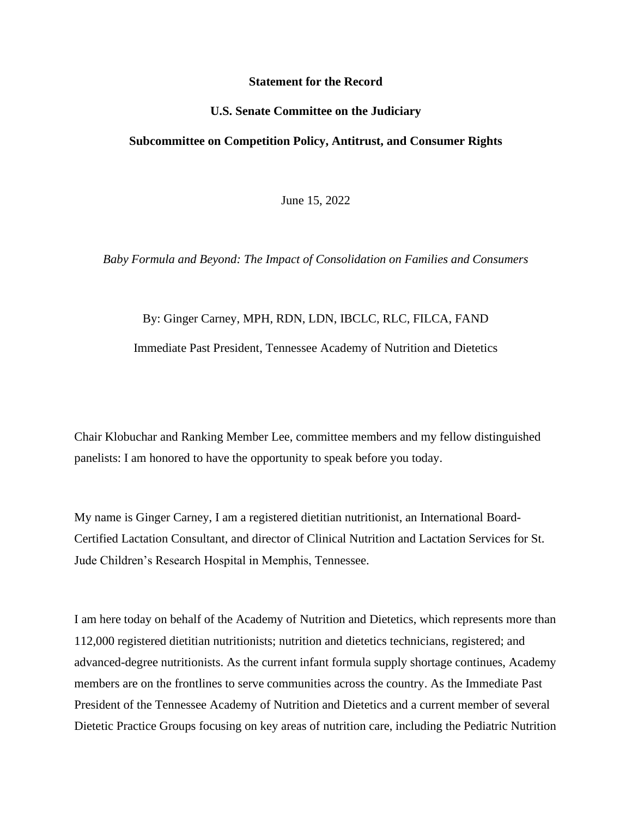## **Statement for the Record**

## **U.S. Senate Committee on the Judiciary**

## **Subcommittee on Competition Policy, Antitrust, and Consumer Rights**

June 15, 2022

*Baby Formula and Beyond: The Impact of Consolidation on Families and Consumers*

## By: Ginger Carney, MPH, RDN, LDN, IBCLC, RLC, FILCA, FAND

Immediate Past President, Tennessee Academy of Nutrition and Dietetics

Chair Klobuchar and Ranking Member Lee, committee members and my fellow distinguished panelists: I am honored to have the opportunity to speak before you today.

My name is Ginger Carney, I am a registered dietitian nutritionist, an International Board-Certified Lactation Consultant, and director of Clinical Nutrition and Lactation Services for St. Jude Children's Research Hospital in Memphis, Tennessee.

I am here today on behalf of the Academy of Nutrition and Dietetics, which represents more than 112,000 registered dietitian nutritionists; nutrition and dietetics technicians, registered; and advanced-degree nutritionists. As the current infant formula supply shortage continues, Academy members are on the frontlines to serve communities across the country. As the Immediate Past President of the Tennessee Academy of Nutrition and Dietetics and a current member of several Dietetic Practice Groups focusing on key areas of nutrition care, including the Pediatric Nutrition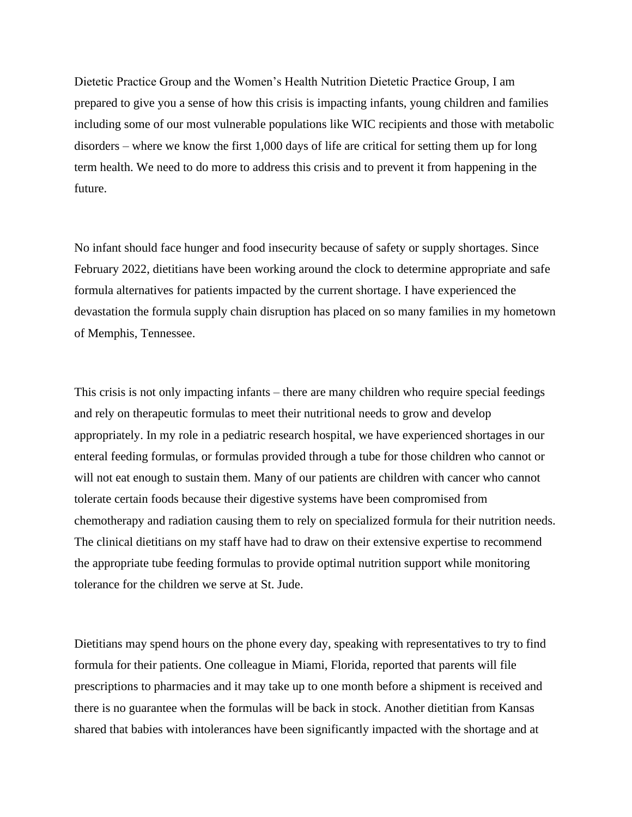Dietetic Practice Group and the Women's Health Nutrition Dietetic Practice Group, I am prepared to give you a sense of how this crisis is impacting infants, young children and families including some of our most vulnerable populations like WIC recipients and those with metabolic disorders – where we know the first 1,000 days of life are critical for setting them up for long term health. We need to do more to address this crisis and to prevent it from happening in the future.

No infant should face hunger and food insecurity because of safety or supply shortages. Since February 2022, dietitians have been working around the clock to determine appropriate and safe formula alternatives for patients impacted by the current shortage. I have experienced the devastation the formula supply chain disruption has placed on so many families in my hometown of Memphis, Tennessee.

This crisis is not only impacting infants – there are many children who require special feedings and rely on therapeutic formulas to meet their nutritional needs to grow and develop appropriately. In my role in a pediatric research hospital, we have experienced shortages in our enteral feeding formulas, or formulas provided through a tube for those children who cannot or will not eat enough to sustain them. Many of our patients are children with cancer who cannot tolerate certain foods because their digestive systems have been compromised from chemotherapy and radiation causing them to rely on specialized formula for their nutrition needs. The clinical dietitians on my staff have had to draw on their extensive expertise to recommend the appropriate tube feeding formulas to provide optimal nutrition support while monitoring tolerance for the children we serve at St. Jude.

Dietitians may spend hours on the phone every day, speaking with representatives to try to find formula for their patients. One colleague in Miami, Florida, reported that parents will file prescriptions to pharmacies and it may take up to one month before a shipment is received and there is no guarantee when the formulas will be back in stock. Another dietitian from Kansas shared that babies with intolerances have been significantly impacted with the shortage and at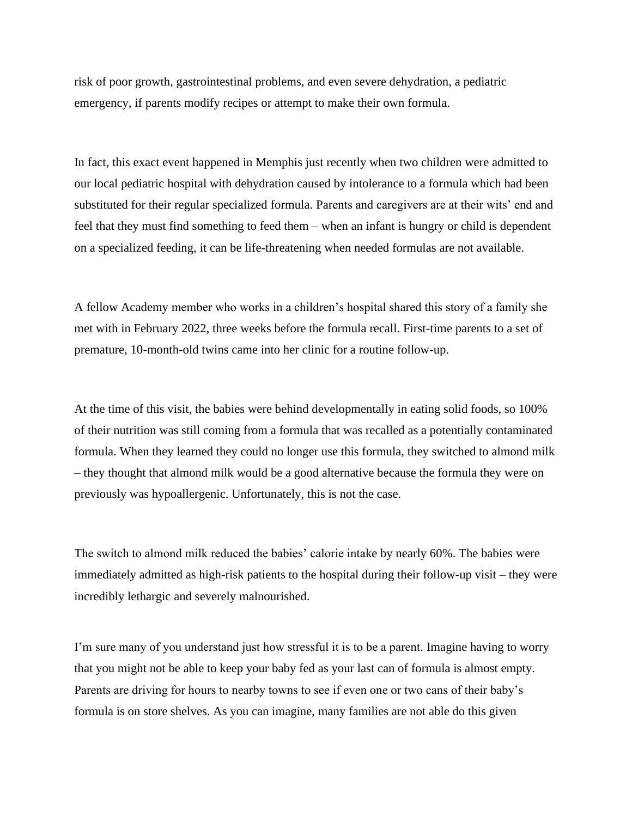risk of poor growth, gastrointestinal problems, and even severe dehydration, a pediatric emergency, if parents modify recipes or attempt to make their own formula.

In fact, this exact event happened in Memphis just recently when two children were admitted to our local pediatric hospital with dehydration caused by intolerance to a formula which had been substituted for their regular specialized formula. Parents and caregivers are at their wits' end and feel that they must find something to feed them – when an infant is hungry or child is dependent on a specialized feeding, it can be life-threatening when needed formulas are not available.

A fellow Academy member who works in a children's hospital shared this story of a family she met with in February 2022, three weeks before the formula recall. First-time parents to a set of premature, 10-month-old twins came into her clinic for a routine follow-up.

At the time of this visit, the babies were behind developmentally in eating solid foods, so 100% of their nutrition was still coming from a formula that was recalled as a potentially contaminated formula. When they learned they could no longer use this formula, they switched to almond milk – they thought that almond milk would be a good alternative because the formula they were on previously was hypoallergenic. Unfortunately, this is not the case.

The switch to almond milk reduced the babies' calorie intake by nearly 60%. The babies were immediately admitted as high-risk patients to the hospital during their follow-up visit – they were incredibly lethargic and severely malnourished.

I'm sure many of you understand just how stressful it is to be a parent. Imagine having to worry that you might not be able to keep your baby fed as your last can of formula is almost empty. Parents are driving for hours to nearby towns to see if even one or two cans of their baby's formula is on store shelves. As you can imagine, many families are not able do this given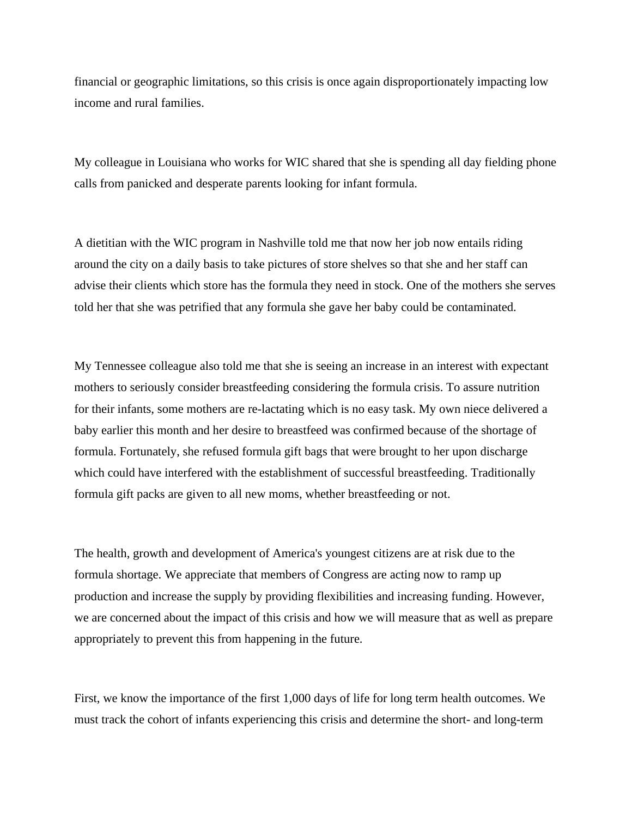financial or geographic limitations, so this crisis is once again disproportionately impacting low income and rural families.

My colleague in Louisiana who works for WIC shared that she is spending all day fielding phone calls from panicked and desperate parents looking for infant formula.

A dietitian with the WIC program in Nashville told me that now her job now entails riding around the city on a daily basis to take pictures of store shelves so that she and her staff can advise their clients which store has the formula they need in stock. One of the mothers she serves told her that she was petrified that any formula she gave her baby could be contaminated.

My Tennessee colleague also told me that she is seeing an increase in an interest with expectant mothers to seriously consider breastfeeding considering the formula crisis. To assure nutrition for their infants, some mothers are re-lactating which is no easy task. My own niece delivered a baby earlier this month and her desire to breastfeed was confirmed because of the shortage of formula. Fortunately, she refused formula gift bags that were brought to her upon discharge which could have interfered with the establishment of successful breastfeeding. Traditionally formula gift packs are given to all new moms, whether breastfeeding or not.

The health, growth and development of America's youngest citizens are at risk due to the formula shortage. We appreciate that members of Congress are acting now to ramp up production and increase the supply by providing flexibilities and increasing funding. However, we are concerned about the impact of this crisis and how we will measure that as well as prepare appropriately to prevent this from happening in the future.

First, we know the importance of the first 1,000 days of life for long term health outcomes. We must track the cohort of infants experiencing this crisis and determine the short- and long-term